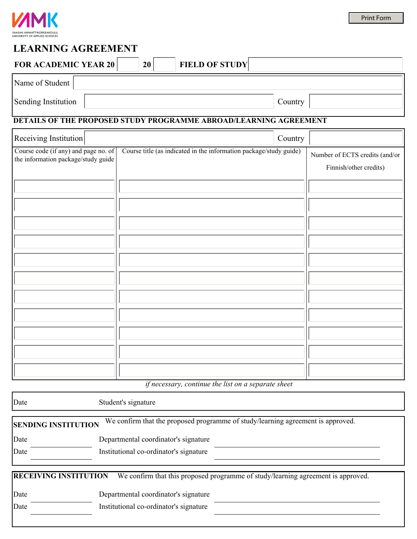

# **LEARNING AGREEMENT**

| <b>FOR ACADEMIC YEAR 20</b> | 20 | <b>FIELD OF STUDY</b> |
|-----------------------------|----|-----------------------|
| Name of Student             |    |                       |

Sending Institution Country

## **DETAILS OF THE PROPOSED STUDY PROGRAMME ABROAD/LEARNING AGREEMENT**

| Receiving Institution                                                       |                                                                    | Country |                                                          |
|-----------------------------------------------------------------------------|--------------------------------------------------------------------|---------|----------------------------------------------------------|
| Course code (if any) and page no. of<br>the information package/study guide | Course title (as indicated in the information package/study guide) |         | Number of ECTS credits (and/or<br>Finnish/other credits) |
|                                                                             |                                                                    |         |                                                          |
|                                                                             |                                                                    |         |                                                          |
|                                                                             |                                                                    |         |                                                          |
|                                                                             |                                                                    |         |                                                          |
|                                                                             |                                                                    |         |                                                          |
|                                                                             |                                                                    |         |                                                          |
|                                                                             |                                                                    |         |                                                          |
|                                                                             |                                                                    |         |                                                          |
|                                                                             |                                                                    |         |                                                          |
|                                                                             |                                                                    |         |                                                          |
|                                                                             |                                                                    |         |                                                          |

*if necessary, continue the list on a separate sheet* 

| Date                         | Student's signature                                                              |
|------------------------------|----------------------------------------------------------------------------------|
| <b>SENDING INSTITUTION</b>   | We confirm that the proposed programme of study/learning agreement is approved.  |
| Date                         | Departmental coordinator's signature                                             |
| Date                         | Institutional co-ordinator's signature                                           |
| <b>RECEIVING INSTITUTION</b> | We confirm that this proposed programme of study/learning agreement is approved. |
| Date                         | Departmental coordinator's signature                                             |
| Date                         | Institutional co-ordinator's signature                                           |